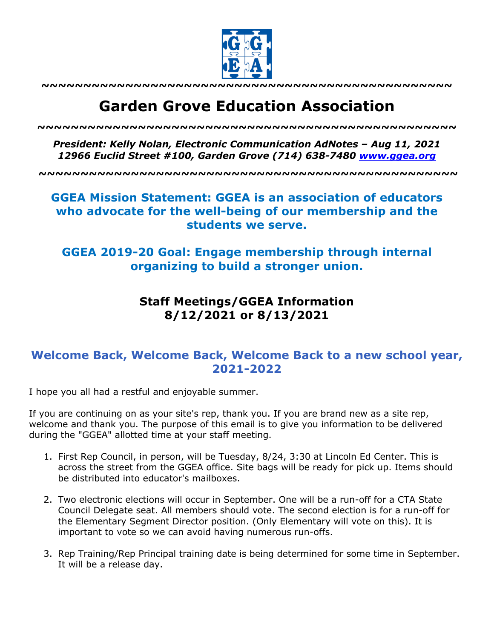

**~~~~~~~~~~~~~~~~~~~~~~~~~~~~~~~~~~~~~~~~~~~~~~~~~**

# **Garden Grove Education Association**

*~~~~~~~~~~~~~~~~~~~~~~~~~~~~~~~~~~~~~~~~~~~~~~~~~~*

*President: Kelly Nolan, Electronic Communication AdNotes – Aug 11, 2021 12966 Euclid Street #100, Garden Grove (714) 638-7480 www.ggea.org*

**~~~~~~~~~~~~~~~~~~~~~~~~~~~~~~~~~~~~~~~~~~~~~~~~~~**

## **GGEA Mission Statement: GGEA is an association of educators who advocate for the well-being of our membership and the students we serve.**

### **GGEA 2019-20 Goal: Engage membership through internal organizing to build a stronger union.**

### **Staff Meetings/GGEA Information 8/12/2021 or 8/13/2021**

#### **Welcome Back, Welcome Back, Welcome Back to a new school year, 2021-2022**

I hope you all had a restful and enjoyable summer.

If you are continuing on as your site's rep, thank you. If you are brand new as a site rep, welcome and thank you. The purpose of this email is to give you information to be delivered during the "GGEA" allotted time at your staff meeting.

- 1. First Rep Council, in person, will be Tuesday, 8/24, 3:30 at Lincoln Ed Center. This is across the street from the GGEA office. Site bags will be ready for pick up. Items should be distributed into educator's mailboxes.
- 2. Two electronic elections will occur in September. One will be a run-off for a CTA State Council Delegate seat. All members should vote. The second election is for a run-off for the Elementary Segment Director position. (Only Elementary will vote on this). It is important to vote so we can avoid having numerous run-offs.
- 3. Rep Training/Rep Principal training date is being determined for some time in September. It will be a release day.